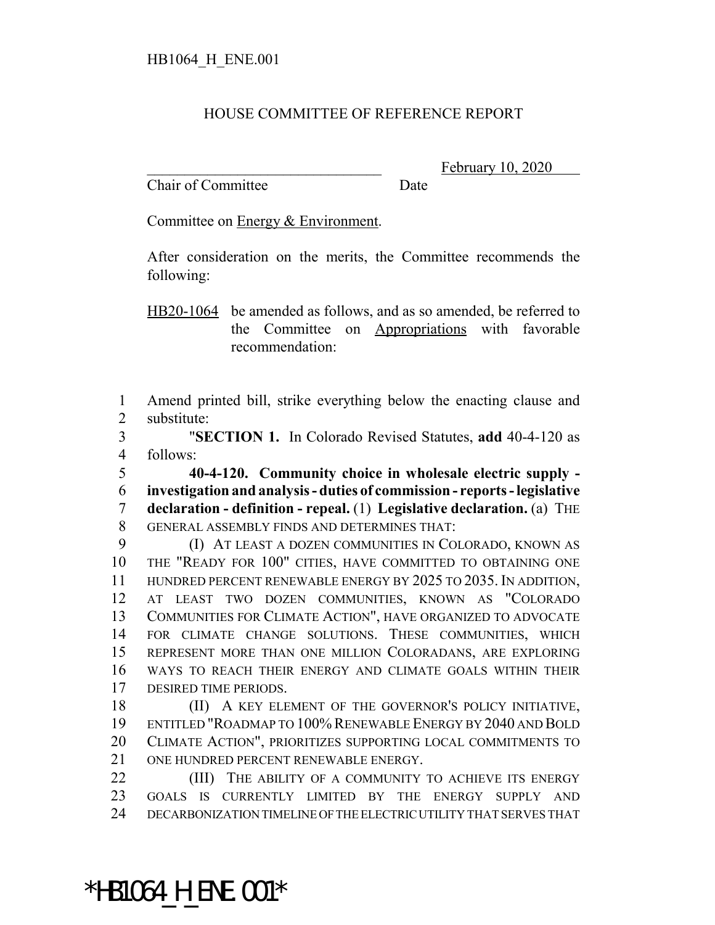## HOUSE COMMITTEE OF REFERENCE REPORT

Chair of Committee Date

February 10, 2020

Committee on Energy & Environment.

After consideration on the merits, the Committee recommends the following:

HB20-1064 be amended as follows, and as so amended, be referred to the Committee on Appropriations with favorable recommendation:

 Amend printed bill, strike everything below the enacting clause and substitute:

 "**SECTION 1.** In Colorado Revised Statutes, **add** 40-4-120 as follows:

 **40-4-120. Community choice in wholesale electric supply - investigation and analysis - duties of commission - reports - legislative declaration - definition - repeal.** (1) **Legislative declaration.** (a) THE GENERAL ASSEMBLY FINDS AND DETERMINES THAT:

 (I) AT LEAST A DOZEN COMMUNITIES IN COLORADO, KNOWN AS THE "READY FOR 100" CITIES, HAVE COMMITTED TO OBTAINING ONE HUNDRED PERCENT RENEWABLE ENERGY BY 2025 TO 2035. IN ADDITION, AT LEAST TWO DOZEN COMMUNITIES, KNOWN AS "COLORADO COMMUNITIES FOR CLIMATE ACTION", HAVE ORGANIZED TO ADVOCATE FOR CLIMATE CHANGE SOLUTIONS. THESE COMMUNITIES, WHICH REPRESENT MORE THAN ONE MILLION COLORADANS, ARE EXPLORING WAYS TO REACH THEIR ENERGY AND CLIMATE GOALS WITHIN THEIR DESIRED TIME PERIODS.

18 (II) A KEY ELEMENT OF THE GOVERNOR'S POLICY INITIATIVE, ENTITLED "ROADMAP TO 100% RENEWABLE ENERGY BY 2040 AND BOLD CLIMATE ACTION", PRIORITIZES SUPPORTING LOCAL COMMITMENTS TO ONE HUNDRED PERCENT RENEWABLE ENERGY.

**(III)** THE ABILITY OF A COMMUNITY TO ACHIEVE ITS ENERGY GOALS IS CURRENTLY LIMITED BY THE ENERGY SUPPLY AND DECARBONIZATION TIMELINE OF THE ELECTRIC UTILITY THAT SERVES THAT

\*HB1064\_H\_ENE.001\*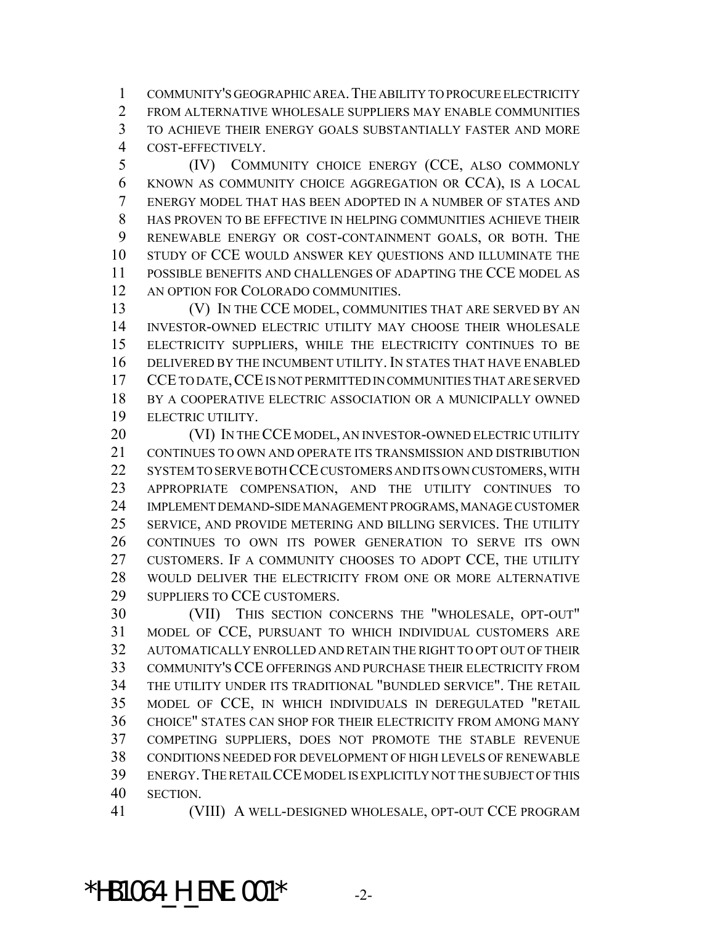COMMUNITY'S GEOGRAPHIC AREA.THE ABILITY TO PROCURE ELECTRICITY FROM ALTERNATIVE WHOLESALE SUPPLIERS MAY ENABLE COMMUNITIES TO ACHIEVE THEIR ENERGY GOALS SUBSTANTIALLY FASTER AND MORE COST-EFFECTIVELY.

 (IV) COMMUNITY CHOICE ENERGY (CCE, ALSO COMMONLY KNOWN AS COMMUNITY CHOICE AGGREGATION OR CCA), IS A LOCAL ENERGY MODEL THAT HAS BEEN ADOPTED IN A NUMBER OF STATES AND HAS PROVEN TO BE EFFECTIVE IN HELPING COMMUNITIES ACHIEVE THEIR RENEWABLE ENERGY OR COST-CONTAINMENT GOALS, OR BOTH. THE STUDY OF CCE WOULD ANSWER KEY QUESTIONS AND ILLUMINATE THE POSSIBLE BENEFITS AND CHALLENGES OF ADAPTING THE CCE MODEL AS AN OPTION FOR COLORADO COMMUNITIES.

 (V) IN THE CCE MODEL, COMMUNITIES THAT ARE SERVED BY AN INVESTOR-OWNED ELECTRIC UTILITY MAY CHOOSE THEIR WHOLESALE ELECTRICITY SUPPLIERS, WHILE THE ELECTRICITY CONTINUES TO BE DELIVERED BY THE INCUMBENT UTILITY. IN STATES THAT HAVE ENABLED CCE TO DATE,CCE IS NOT PERMITTED IN COMMUNITIES THAT ARE SERVED 18 BY A COOPERATIVE ELECTRIC ASSOCIATION OR A MUNICIPALLY OWNED ELECTRIC UTILITY.

20 (VI) IN THE CCE MODEL, AN INVESTOR-OWNED ELECTRIC UTILITY CONTINUES TO OWN AND OPERATE ITS TRANSMISSION AND DISTRIBUTION SYSTEM TO SERVE BOTH CCE CUSTOMERS AND ITS OWN CUSTOMERS, WITH APPROPRIATE COMPENSATION, AND THE UTILITY CONTINUES TO IMPLEMENT DEMAND-SIDE MANAGEMENT PROGRAMS, MANAGE CUSTOMER SERVICE, AND PROVIDE METERING AND BILLING SERVICES. THE UTILITY CONTINUES TO OWN ITS POWER GENERATION TO SERVE ITS OWN CUSTOMERS. IF A COMMUNITY CHOOSES TO ADOPT CCE, THE UTILITY WOULD DELIVER THE ELECTRICITY FROM ONE OR MORE ALTERNATIVE SUPPLIERS TO CCE CUSTOMERS.

 (VII) THIS SECTION CONCERNS THE "WHOLESALE, OPT-OUT" MODEL OF CCE, PURSUANT TO WHICH INDIVIDUAL CUSTOMERS ARE AUTOMATICALLY ENROLLED AND RETAIN THE RIGHT TO OPT OUT OF THEIR COMMUNITY'S CCE OFFERINGS AND PURCHASE THEIR ELECTRICITY FROM THE UTILITY UNDER ITS TRADITIONAL "BUNDLED SERVICE". THE RETAIL MODEL OF CCE, IN WHICH INDIVIDUALS IN DEREGULATED "RETAIL CHOICE" STATES CAN SHOP FOR THEIR ELECTRICITY FROM AMONG MANY COMPETING SUPPLIERS, DOES NOT PROMOTE THE STABLE REVENUE CONDITIONS NEEDED FOR DEVELOPMENT OF HIGH LEVELS OF RENEWABLE ENERGY.THE RETAIL CCE MODEL IS EXPLICITLY NOT THE SUBJECT OF THIS SECTION.

(VIII) A WELL-DESIGNED WHOLESALE, OPT-OUT CCE PROGRAM

\*HB1064 H ENE.001\*  $-2$ -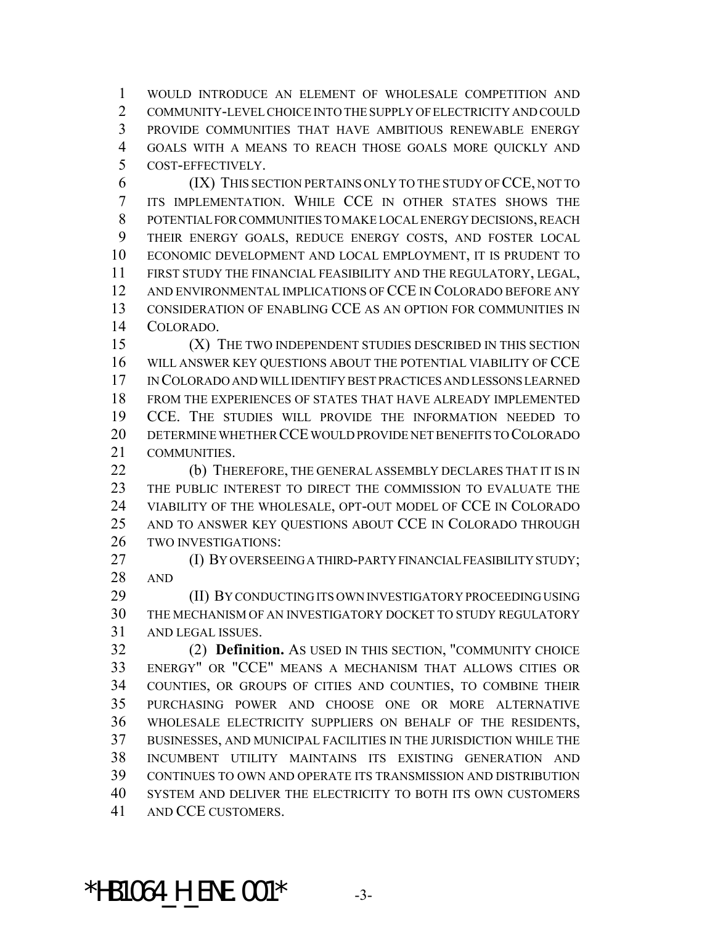WOULD INTRODUCE AN ELEMENT OF WHOLESALE COMPETITION AND COMMUNITY-LEVEL CHOICE INTO THE SUPPLY OF ELECTRICITY AND COULD PROVIDE COMMUNITIES THAT HAVE AMBITIOUS RENEWABLE ENERGY GOALS WITH A MEANS TO REACH THOSE GOALS MORE QUICKLY AND COST-EFFECTIVELY.

 (IX) THIS SECTION PERTAINS ONLY TO THE STUDY OF CCE, NOT TO ITS IMPLEMENTATION. WHILE CCE IN OTHER STATES SHOWS THE POTENTIAL FOR COMMUNITIES TO MAKE LOCAL ENERGY DECISIONS, REACH THEIR ENERGY GOALS, REDUCE ENERGY COSTS, AND FOSTER LOCAL ECONOMIC DEVELOPMENT AND LOCAL EMPLOYMENT, IT IS PRUDENT TO FIRST STUDY THE FINANCIAL FEASIBILITY AND THE REGULATORY, LEGAL, AND ENVIRONMENTAL IMPLICATIONS OF CCE IN COLORADO BEFORE ANY CONSIDERATION OF ENABLING CCE AS AN OPTION FOR COMMUNITIES IN COLORADO.

 (X) THE TWO INDEPENDENT STUDIES DESCRIBED IN THIS SECTION WILL ANSWER KEY QUESTIONS ABOUT THE POTENTIAL VIABILITY OF CCE IN COLORADO AND WILL IDENTIFY BEST PRACTICES AND LESSONS LEARNED FROM THE EXPERIENCES OF STATES THAT HAVE ALREADY IMPLEMENTED CCE. THE STUDIES WILL PROVIDE THE INFORMATION NEEDED TO DETERMINE WHETHER CCE WOULD PROVIDE NET BENEFITS TO COLORADO COMMUNITIES.

22 (b) THEREFORE, THE GENERAL ASSEMBLY DECLARES THAT IT IS IN THE PUBLIC INTEREST TO DIRECT THE COMMISSION TO EVALUATE THE VIABILITY OF THE WHOLESALE, OPT-OUT MODEL OF CCE IN COLORADO AND TO ANSWER KEY QUESTIONS ABOUT CCE IN COLORADO THROUGH TWO INVESTIGATIONS:

 (I) BY OVERSEEING A THIRD-PARTY FINANCIAL FEASIBILITY STUDY; AND

 (II) BY CONDUCTING ITS OWN INVESTIGATORY PROCEEDING USING THE MECHANISM OF AN INVESTIGATORY DOCKET TO STUDY REGULATORY AND LEGAL ISSUES.

 (2) **Definition.** AS USED IN THIS SECTION, "COMMUNITY CHOICE ENERGY" OR "CCE" MEANS A MECHANISM THAT ALLOWS CITIES OR COUNTIES, OR GROUPS OF CITIES AND COUNTIES, TO COMBINE THEIR PURCHASING POWER AND CHOOSE ONE OR MORE ALTERNATIVE WHOLESALE ELECTRICITY SUPPLIERS ON BEHALF OF THE RESIDENTS, BUSINESSES, AND MUNICIPAL FACILITIES IN THE JURISDICTION WHILE THE INCUMBENT UTILITY MAINTAINS ITS EXISTING GENERATION AND CONTINUES TO OWN AND OPERATE ITS TRANSMISSION AND DISTRIBUTION SYSTEM AND DELIVER THE ELECTRICITY TO BOTH ITS OWN CUSTOMERS AND CCE CUSTOMERS.

\*HB1064 H ENE.001\*  $-3$ -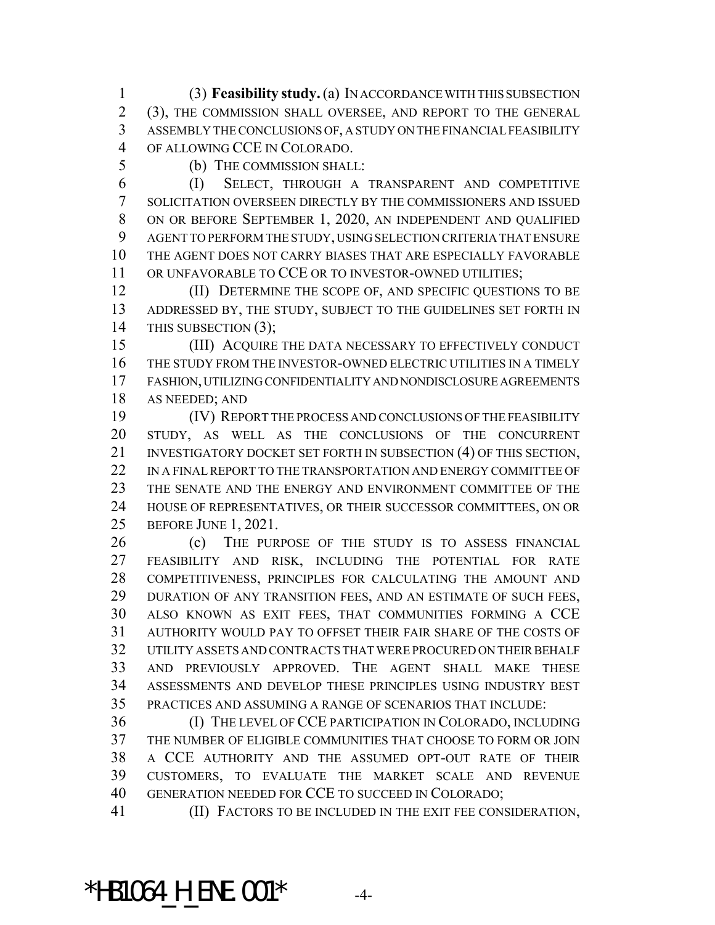(3) **Feasibility study.** (a) IN ACCORDANCE WITH THIS SUBSECTION (3), THE COMMISSION SHALL OVERSEE, AND REPORT TO THE GENERAL ASSEMBLY THE CONCLUSIONS OF, A STUDY ON THE FINANCIAL FEASIBILITY OF ALLOWING CCE IN COLORADO.

(b) THE COMMISSION SHALL:

 (I) SELECT, THROUGH A TRANSPARENT AND COMPETITIVE SOLICITATION OVERSEEN DIRECTLY BY THE COMMISSIONERS AND ISSUED ON OR BEFORE SEPTEMBER 1, 2020, AN INDEPENDENT AND QUALIFIED AGENT TO PERFORM THE STUDY, USING SELECTION CRITERIA THAT ENSURE THE AGENT DOES NOT CARRY BIASES THAT ARE ESPECIALLY FAVORABLE 11 OR UNFAVORABLE TO CCE OR TO INVESTOR-OWNED UTILITIES;

**(II) DETERMINE THE SCOPE OF, AND SPECIFIC QUESTIONS TO BE**  ADDRESSED BY, THE STUDY, SUBJECT TO THE GUIDELINES SET FORTH IN 14 THIS SUBSECTION (3);

15 (III) ACQUIRE THE DATA NECESSARY TO EFFECTIVELY CONDUCT THE STUDY FROM THE INVESTOR-OWNED ELECTRIC UTILITIES IN A TIMELY FASHION, UTILIZING CONFIDENTIALITY AND NONDISCLOSURE AGREEMENTS AS NEEDED; AND

 (IV) REPORT THE PROCESS AND CONCLUSIONS OF THE FEASIBILITY STUDY, AS WELL AS THE CONCLUSIONS OF THE CONCURRENT 21 INVESTIGATORY DOCKET SET FORTH IN SUBSECTION (4) OF THIS SECTION, 22 IN A FINAL REPORT TO THE TRANSPORTATION AND ENERGY COMMITTEE OF THE SENATE AND THE ENERGY AND ENVIRONMENT COMMITTEE OF THE HOUSE OF REPRESENTATIVES, OR THEIR SUCCESSOR COMMITTEES, ON OR BEFORE JUNE 1, 2021.

 (c) THE PURPOSE OF THE STUDY IS TO ASSESS FINANCIAL FEASIBILITY AND RISK, INCLUDING THE POTENTIAL FOR RATE COMPETITIVENESS, PRINCIPLES FOR CALCULATING THE AMOUNT AND DURATION OF ANY TRANSITION FEES, AND AN ESTIMATE OF SUCH FEES, ALSO KNOWN AS EXIT FEES, THAT COMMUNITIES FORMING A CCE AUTHORITY WOULD PAY TO OFFSET THEIR FAIR SHARE OF THE COSTS OF UTILITY ASSETS AND CONTRACTS THAT WERE PROCURED ON THEIR BEHALF AND PREVIOUSLY APPROVED. THE AGENT SHALL MAKE THESE ASSESSMENTS AND DEVELOP THESE PRINCIPLES USING INDUSTRY BEST PRACTICES AND ASSUMING A RANGE OF SCENARIOS THAT INCLUDE:

 (I) THE LEVEL OF CCE PARTICIPATION IN COLORADO, INCLUDING THE NUMBER OF ELIGIBLE COMMUNITIES THAT CHOOSE TO FORM OR JOIN A CCE AUTHORITY AND THE ASSUMED OPT-OUT RATE OF THEIR CUSTOMERS, TO EVALUATE THE MARKET SCALE AND REVENUE GENERATION NEEDED FOR CCE TO SUCCEED IN COLORADO;

(II) FACTORS TO BE INCLUDED IN THE EXIT FEE CONSIDERATION,

 $*$ HB1064 H ENE.001 $*$  -4-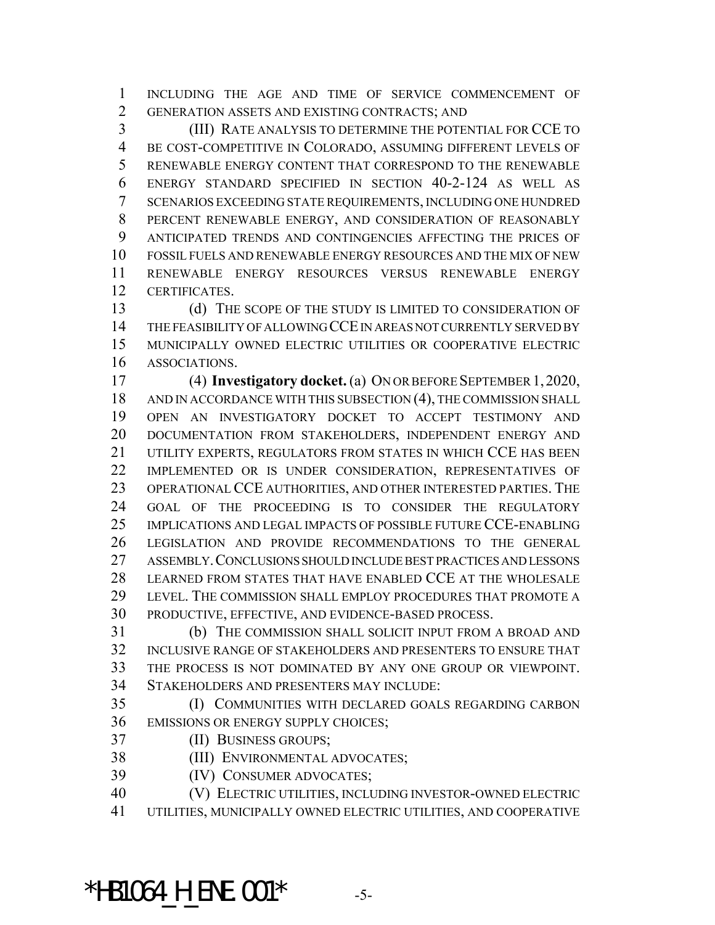INCLUDING THE AGE AND TIME OF SERVICE COMMENCEMENT OF GENERATION ASSETS AND EXISTING CONTRACTS; AND

 (III) RATE ANALYSIS TO DETERMINE THE POTENTIAL FOR CCE TO BE COST-COMPETITIVE IN COLORADO, ASSUMING DIFFERENT LEVELS OF RENEWABLE ENERGY CONTENT THAT CORRESPOND TO THE RENEWABLE ENERGY STANDARD SPECIFIED IN SECTION 40-2-124 AS WELL AS SCENARIOS EXCEEDING STATE REQUIREMENTS, INCLUDING ONE HUNDRED PERCENT RENEWABLE ENERGY, AND CONSIDERATION OF REASONABLY ANTICIPATED TRENDS AND CONTINGENCIES AFFECTING THE PRICES OF FOSSIL FUELS AND RENEWABLE ENERGY RESOURCES AND THE MIX OF NEW RENEWABLE ENERGY RESOURCES VERSUS RENEWABLE ENERGY CERTIFICATES.

13 (d) THE SCOPE OF THE STUDY IS LIMITED TO CONSIDERATION OF THE FEASIBILITY OF ALLOWING CCE IN AREAS NOT CURRENTLY SERVED BY MUNICIPALLY OWNED ELECTRIC UTILITIES OR COOPERATIVE ELECTRIC ASSOCIATIONS.

 (4) **Investigatory docket.** (a) ON OR BEFORE SEPTEMBER 1,2020, AND IN ACCORDANCE WITH THIS SUBSECTION (4), THE COMMISSION SHALL OPEN AN INVESTIGATORY DOCKET TO ACCEPT TESTIMONY AND DOCUMENTATION FROM STAKEHOLDERS, INDEPENDENT ENERGY AND UTILITY EXPERTS, REGULATORS FROM STATES IN WHICH CCE HAS BEEN IMPLEMENTED OR IS UNDER CONSIDERATION, REPRESENTATIVES OF OPERATIONAL CCE AUTHORITIES, AND OTHER INTERESTED PARTIES. THE GOAL OF THE PROCEEDING IS TO CONSIDER THE REGULATORY IMPLICATIONS AND LEGAL IMPACTS OF POSSIBLE FUTURE CCE-ENABLING LEGISLATION AND PROVIDE RECOMMENDATIONS TO THE GENERAL ASSEMBLY.CONCLUSIONS SHOULD INCLUDE BEST PRACTICES AND LESSONS LEARNED FROM STATES THAT HAVE ENABLED CCE AT THE WHOLESALE LEVEL. THE COMMISSION SHALL EMPLOY PROCEDURES THAT PROMOTE A PRODUCTIVE, EFFECTIVE, AND EVIDENCE-BASED PROCESS.

 (b) THE COMMISSION SHALL SOLICIT INPUT FROM A BROAD AND INCLUSIVE RANGE OF STAKEHOLDERS AND PRESENTERS TO ENSURE THAT THE PROCESS IS NOT DOMINATED BY ANY ONE GROUP OR VIEWPOINT. STAKEHOLDERS AND PRESENTERS MAY INCLUDE:

 (I) COMMUNITIES WITH DECLARED GOALS REGARDING CARBON EMISSIONS OR ENERGY SUPPLY CHOICES;

(II) BUSINESS GROUPS;

(III) ENVIRONMENTAL ADVOCATES;

(IV) CONSUMER ADVOCATES;

 (V) ELECTRIC UTILITIES, INCLUDING INVESTOR-OWNED ELECTRIC UTILITIES, MUNICIPALLY OWNED ELECTRIC UTILITIES, AND COOPERATIVE

\*HB1064 H ENE.001\*  $-5$ -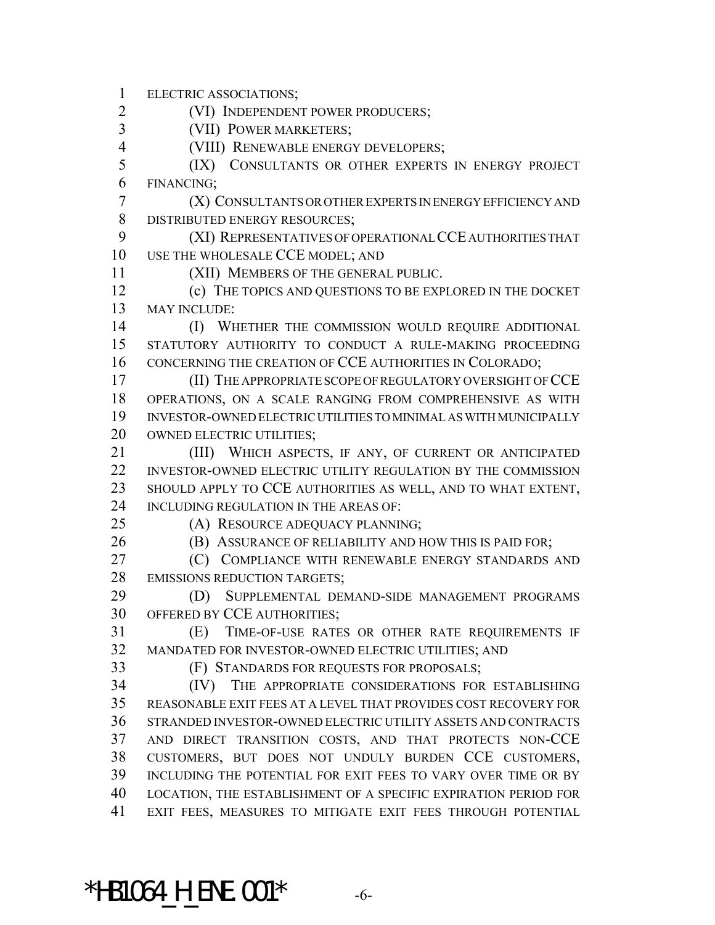ELECTRIC ASSOCIATIONS;

(VI) INDEPENDENT POWER PRODUCERS;

(VII) POWER MARKETERS;

(VIII) RENEWABLE ENERGY DEVELOPERS;

 (IX) CONSULTANTS OR OTHER EXPERTS IN ENERGY PROJECT FINANCING;

 (X) CONSULTANTS OR OTHER EXPERTS IN ENERGY EFFICIENCY AND DISTRIBUTED ENERGY RESOURCES;

 (XI) REPRESENTATIVES OF OPERATIONAL CCE AUTHORITIES THAT USE THE WHOLESALE CCE MODEL; AND

(XII) MEMBERS OF THE GENERAL PUBLIC.

 (c) THE TOPICS AND QUESTIONS TO BE EXPLORED IN THE DOCKET MAY INCLUDE:

**(I) WHETHER THE COMMISSION WOULD REQUIRE ADDITIONAL**  STATUTORY AUTHORITY TO CONDUCT A RULE-MAKING PROCEEDING CONCERNING THE CREATION OF CCE AUTHORITIES IN COLORADO;

 (II) THE APPROPRIATE SCOPE OF REGULATORY OVERSIGHT OF CCE OPERATIONS, ON A SCALE RANGING FROM COMPREHENSIVE AS WITH INVESTOR-OWNED ELECTRIC UTILITIES TO MINIMAL AS WITH MUNICIPALLY 20 OWNED ELECTRIC UTILITIES;

21 (III) WHICH ASPECTS, IF ANY, OF CURRENT OR ANTICIPATED 22 INVESTOR-OWNED ELECTRIC UTILITY REGULATION BY THE COMMISSION SHOULD APPLY TO CCE AUTHORITIES AS WELL, AND TO WHAT EXTENT, INCLUDING REGULATION IN THE AREAS OF:

(A) RESOURCE ADEQUACY PLANNING;

**(B) ASSURANCE OF RELIABILITY AND HOW THIS IS PAID FOR:** 

 (C) COMPLIANCE WITH RENEWABLE ENERGY STANDARDS AND 28 EMISSIONS REDUCTION TARGETS;

 (D) SUPPLEMENTAL DEMAND-SIDE MANAGEMENT PROGRAMS OFFERED BY CCE AUTHORITIES;

 (E) TIME-OF-USE RATES OR OTHER RATE REQUIREMENTS IF MANDATED FOR INVESTOR-OWNED ELECTRIC UTILITIES; AND

(F) STANDARDS FOR REQUESTS FOR PROPOSALS;

 (IV) THE APPROPRIATE CONSIDERATIONS FOR ESTABLISHING REASONABLE EXIT FEES AT A LEVEL THAT PROVIDES COST RECOVERY FOR STRANDED INVESTOR-OWNED ELECTRIC UTILITY ASSETS AND CONTRACTS AND DIRECT TRANSITION COSTS, AND THAT PROTECTS NON-CCE CUSTOMERS, BUT DOES NOT UNDULY BURDEN CCE CUSTOMERS, INCLUDING THE POTENTIAL FOR EXIT FEES TO VARY OVER TIME OR BY LOCATION, THE ESTABLISHMENT OF A SPECIFIC EXPIRATION PERIOD FOR EXIT FEES, MEASURES TO MITIGATE EXIT FEES THROUGH POTENTIAL

 $*$ HB1064 H ENE.001 $*$  -6-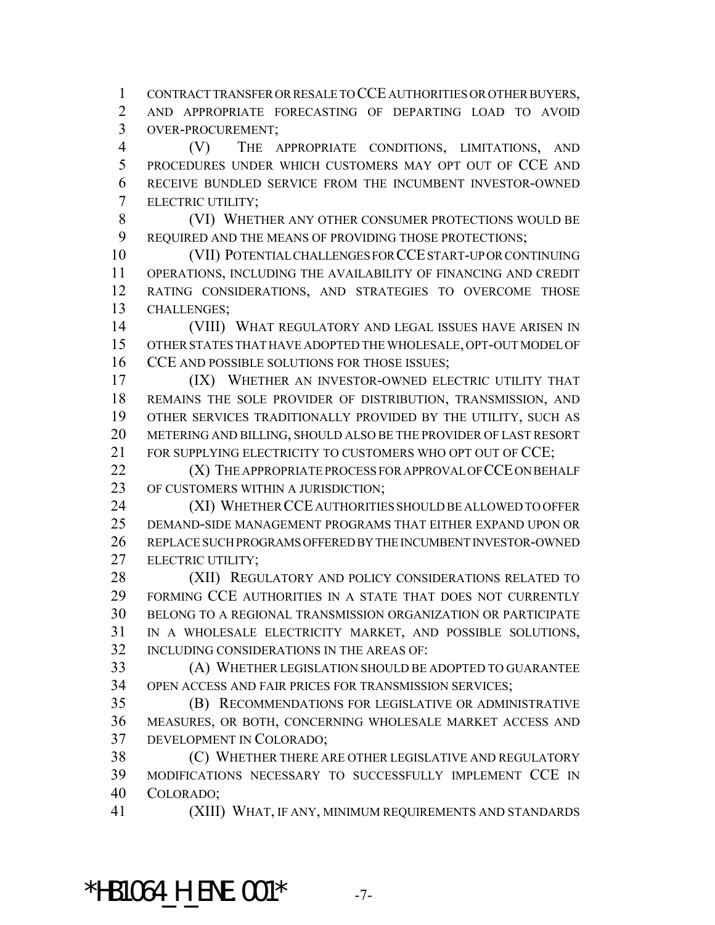CONTRACT TRANSFER OR RESALE TO CCE AUTHORITIES OR OTHER BUYERS, AND APPROPRIATE FORECASTING OF DEPARTING LOAD TO AVOID

OVER-PROCUREMENT;

 (V) THE APPROPRIATE CONDITIONS, LIMITATIONS, AND PROCEDURES UNDER WHICH CUSTOMERS MAY OPT OUT OF CCE AND RECEIVE BUNDLED SERVICE FROM THE INCUMBENT INVESTOR-OWNED ELECTRIC UTILITY;

 (VI) WHETHER ANY OTHER CONSUMER PROTECTIONS WOULD BE 9 REQUIRED AND THE MEANS OF PROVIDING THOSE PROTECTIONS;

 (VII) POTENTIAL CHALLENGES FOR CCE START-UP OR CONTINUING OPERATIONS, INCLUDING THE AVAILABILITY OF FINANCING AND CREDIT RATING CONSIDERATIONS, AND STRATEGIES TO OVERCOME THOSE CHALLENGES;

 (VIII) WHAT REGULATORY AND LEGAL ISSUES HAVE ARISEN IN OTHER STATES THAT HAVE ADOPTED THE WHOLESALE, OPT-OUT MODEL OF 16 CCE AND POSSIBLE SOLUTIONS FOR THOSE ISSUES;

 (IX) WHETHER AN INVESTOR-OWNED ELECTRIC UTILITY THAT REMAINS THE SOLE PROVIDER OF DISTRIBUTION, TRANSMISSION, AND OTHER SERVICES TRADITIONALLY PROVIDED BY THE UTILITY, SUCH AS METERING AND BILLING, SHOULD ALSO BE THE PROVIDER OF LAST RESORT 21 FOR SUPPLYING ELECTRICITY TO CUSTOMERS WHO OPT OUT OF CCE:

**(X)** THE APPROPRIATE PROCESS FOR APPROVAL OF CCE ON BEHALF OF CUSTOMERS WITHIN A JURISDICTION;

 (XI) WHETHER CCE AUTHORITIES SHOULD BE ALLOWED TO OFFER DEMAND-SIDE MANAGEMENT PROGRAMS THAT EITHER EXPAND UPON OR REPLACE SUCH PROGRAMS OFFERED BY THE INCUMBENT INVESTOR-OWNED ELECTRIC UTILITY;

28 (XII) REGULATORY AND POLICY CONSIDERATIONS RELATED TO FORMING CCE AUTHORITIES IN A STATE THAT DOES NOT CURRENTLY BELONG TO A REGIONAL TRANSMISSION ORGANIZATION OR PARTICIPATE IN A WHOLESALE ELECTRICITY MARKET, AND POSSIBLE SOLUTIONS, INCLUDING CONSIDERATIONS IN THE AREAS OF:

 (A) WHETHER LEGISLATION SHOULD BE ADOPTED TO GUARANTEE OPEN ACCESS AND FAIR PRICES FOR TRANSMISSION SERVICES;

 (B) RECOMMENDATIONS FOR LEGISLATIVE OR ADMINISTRATIVE MEASURES, OR BOTH, CONCERNING WHOLESALE MARKET ACCESS AND DEVELOPMENT IN COLORADO;

 (C) WHETHER THERE ARE OTHER LEGISLATIVE AND REGULATORY MODIFICATIONS NECESSARY TO SUCCESSFULLY IMPLEMENT CCE IN COLORADO;

(XIII) WHAT, IF ANY, MINIMUM REQUIREMENTS AND STANDARDS

\*HB1064 H ENE.001\*  $-7-$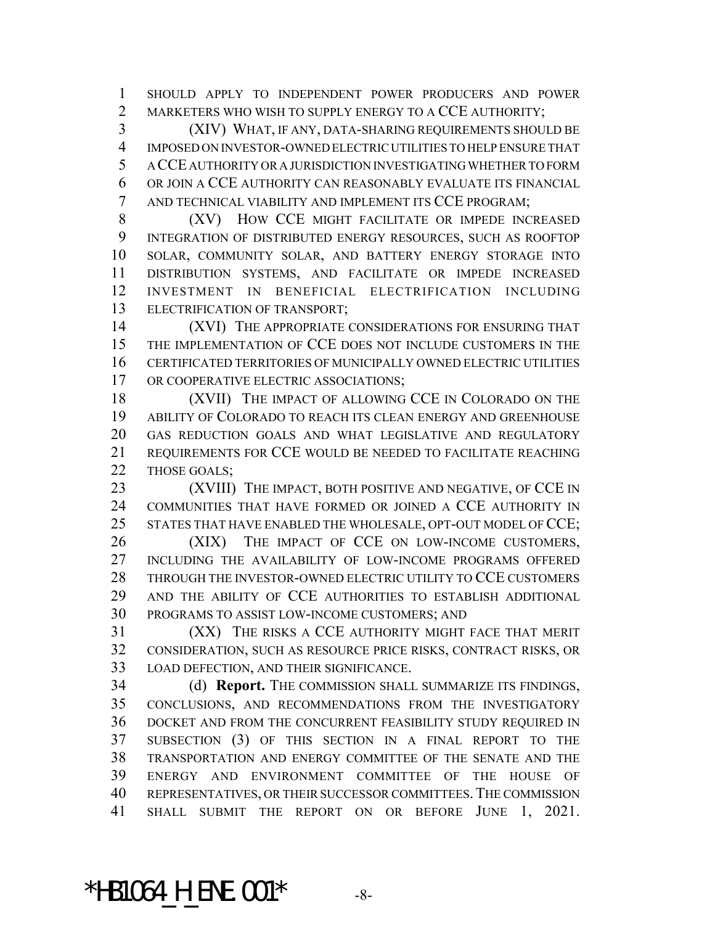SHOULD APPLY TO INDEPENDENT POWER PRODUCERS AND POWER MARKETERS WHO WISH TO SUPPLY ENERGY TO A CCE AUTHORITY;

 (XIV) WHAT, IF ANY, DATA-SHARING REQUIREMENTS SHOULD BE IMPOSED ON INVESTOR-OWNED ELECTRIC UTILITIES TO HELP ENSURE THAT A CCE AUTHORITY OR A JURISDICTION INVESTIGATING WHETHER TO FORM OR JOIN A CCE AUTHORITY CAN REASONABLY EVALUATE ITS FINANCIAL AND TECHNICAL VIABILITY AND IMPLEMENT ITS CCE PROGRAM;

8 (XV) HOW CCE MIGHT FACILITATE OR IMPEDE INCREASED INTEGRATION OF DISTRIBUTED ENERGY RESOURCES, SUCH AS ROOFTOP SOLAR, COMMUNITY SOLAR, AND BATTERY ENERGY STORAGE INTO DISTRIBUTION SYSTEMS, AND FACILITATE OR IMPEDE INCREASED INVESTMENT IN BENEFICIAL ELECTRIFICATION INCLUDING ELECTRIFICATION OF TRANSPORT;

14 (XVI) THE APPROPRIATE CONSIDERATIONS FOR ENSURING THAT THE IMPLEMENTATION OF CCE DOES NOT INCLUDE CUSTOMERS IN THE CERTIFICATED TERRITORIES OF MUNICIPALLY OWNED ELECTRIC UTILITIES 17 OR COOPERATIVE ELECTRIC ASSOCIATIONS;

18 (XVII) THE IMPACT OF ALLOWING CCE IN COLORADO ON THE ABILITY OF COLORADO TO REACH ITS CLEAN ENERGY AND GREENHOUSE GAS REDUCTION GOALS AND WHAT LEGISLATIVE AND REGULATORY REQUIREMENTS FOR CCE WOULD BE NEEDED TO FACILITATE REACHING 22 THOSE GOALS;

**(XVIII)** THE IMPACT, BOTH POSITIVE AND NEGATIVE, OF CCE IN COMMUNITIES THAT HAVE FORMED OR JOINED A CCE AUTHORITY IN STATES THAT HAVE ENABLED THE WHOLESALE, OPT-OUT MODEL OF CCE;

 (XIX) THE IMPACT OF CCE ON LOW-INCOME CUSTOMERS, INCLUDING THE AVAILABILITY OF LOW-INCOME PROGRAMS OFFERED 28 THROUGH THE INVESTOR-OWNED ELECTRIC UTILITY TO CCE CUSTOMERS AND THE ABILITY OF CCE AUTHORITIES TO ESTABLISH ADDITIONAL PROGRAMS TO ASSIST LOW-INCOME CUSTOMERS; AND

 (XX) THE RISKS A CCE AUTHORITY MIGHT FACE THAT MERIT CONSIDERATION, SUCH AS RESOURCE PRICE RISKS, CONTRACT RISKS, OR LOAD DEFECTION, AND THEIR SIGNIFICANCE.

 (d) **Report.** THE COMMISSION SHALL SUMMARIZE ITS FINDINGS, CONCLUSIONS, AND RECOMMENDATIONS FROM THE INVESTIGATORY DOCKET AND FROM THE CONCURRENT FEASIBILITY STUDY REQUIRED IN SUBSECTION (3) OF THIS SECTION IN A FINAL REPORT TO THE TRANSPORTATION AND ENERGY COMMITTEE OF THE SENATE AND THE ENERGY AND ENVIRONMENT COMMITTEE OF THE HOUSE OF REPRESENTATIVES, OR THEIR SUCCESSOR COMMITTEES.THE COMMISSION SHALL SUBMIT THE REPORT ON OR BEFORE JUNE 1, 2021.

\*HB1064 H ENE.001\*  $-8$ -